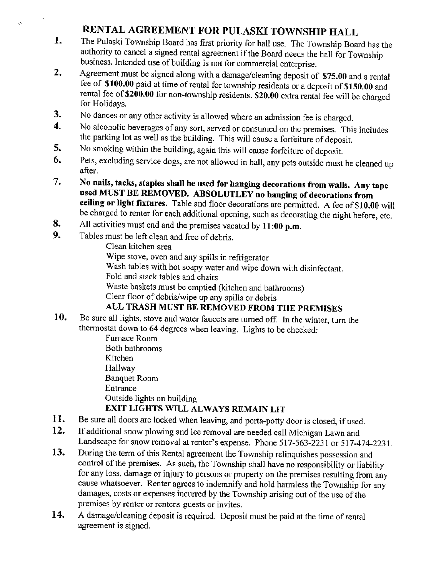## RENTAL AGREEMENT FOR PULASKI TOWNSHIP HALL

- The Pulaski Township Board has first priority for hall use. The Township Board has the 1. authority to cancel a signed rental agreement if the Board needs the hall for Township business. Intended use of building is not for commercial enterprise.
- $2.$ Agreement must be signed along with a damage/cleaning deposit of \$75.00 and a rental fee of \$100.00 paid at time of rental for township residents or a deposit of \$150.00 and rental fee of \$200.00 for non-township residents. \$20.00 extra rental fee will be charged for Holidays.
- 3. No dances or any other activity is allowed where an admission fee is charged.
- No alcoholic beverages of any sort, served or consumed on the premises. This includes  $\overline{\mathbf{4}}$ . the parking lot as well as the building. This will cause a forfeiture of deposit.
- 5. No smoking within the building, again this will cause forfeiture of deposit.
- Pets, excluding service dogs, are not allowed in hall, any pets outside must be cleaned up 6. after.
- 7. No nails, tacks, staples shall be used for hanging decorations from walls. Any tape used MUST BE REMOVED. ABSOLUTLEY no hanging of decorations from ceiling or light fixtures. Table and floor decorations are permitted. A fee of \$10.00 will be charged to renter for each additional opening, such as decorating the night before, etc.
- 8. All activities must end and the premises vacated by 11:00 p.m.
- $9.$ Tables must be left clean and free of debris.

Ç.

Clean kitchen area Wipe stove, oven and any spills in refrigerator

Wash tables with hot soapy water and wipe down with disinfectant.

Fold and stack tables and chairs

Waste baskets must be emptied (kitchen and bathrooms)

Clear floor of debris/wipe up any spills or debris

## ALL TRASH MUST BE REMOVED FROM THE PREMISES

10. Be sure all lights, stove and water faucets are turned off. In the winter, turn the thermostat down to 64 degrees when leaving. Lights to be checked:

Furnace Room Both bathrooms Kitchen Hallway **Banquet Room** Entrance Outside lights on building EXIT LIGHTS WILL ALWAYS REMAIN LIT

- 11. Be sure all doors are locked when leaving, and porta-potty door is closed, if used.
- $12.$ If additional snow plowing and ice removal are needed call Michigan Lawn and Landscape for snow removal at renter's expense. Phone 517-563-2231 or 517-474-2231.
- 13. During the term of this Rental agreement the Township relinquishes possession and control of the premises. As such, the Township shall have no responsibility or liability for any loss, damage or injury to persons or property on the premises resulting from any cause whatsoever. Renter agrees to indemnify and hold harmless the Township for any damages, costs or expenses incurred by the Township arising out of the use of the premises by renter or renters guests or invites.
- 14. A damage/cleaning deposit is required. Deposit must be paid at the time of rental agreement is signed.